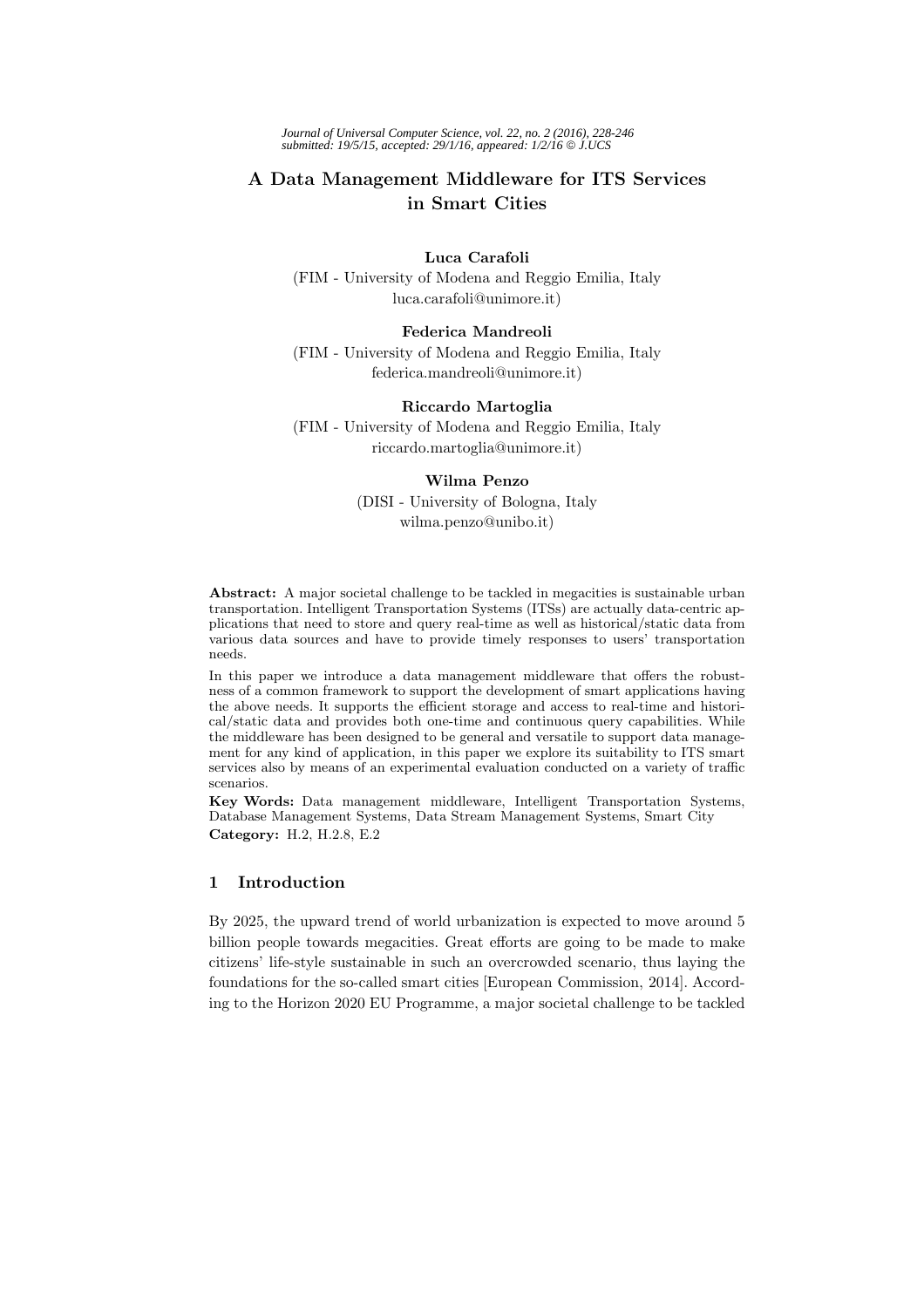*Journal of Universal Computer Science, vol. 22, no. 2 (2016), 228-246 submitted: 19/5/15, accepted: 29/1/16, appeared: 1/2/16* © *J.UCS*

# **A Data Management Middleware for ITS Services in Smart Cities**

**Luca Carafoli** (FIM - University of Modena and Reggio Emilia, Italy luca.carafoli@unimore.it)

#### **Federica Mandreoli**

(FIM - University of Modena and Reggio Emilia, Italy federica.mandreoli@unimore.it)

## **Riccardo Martoglia**

(FIM - University of Modena and Reggio Emilia, Italy riccardo.martoglia@unimore.it)

#### **Wilma Penzo**

(DISI - University of Bologna, Italy wilma.penzo@unibo.it)

**Abstract:** A major societal challenge to be tackled in megacities is sustainable urban transportation. Intelligent Transportation Systems (ITSs) are actually data-centric applications that need to store and query real-time as well as historical/static data from various data sources and have to provide timely responses to users' transportation needs.

In this paper we introduce a data management middleware that offers the robustness of a common framework to support the development of smart applications having the above needs. It supports the efficient storage and access to real-time and historical/static data and provides both one-time and continuous query capabilities. While the middleware has been designed to be general and versatile to support data management for any kind of application, in this paper we explore its suitability to ITS smart services also by means of an experimental evaluation conducted on a variety of traffic scenarios.

**Key Words:** Data management middleware, Intelligent Transportation Systems, Database Management Systems, Data Stream Management Systems, Smart City **Category:** H.2, H.2.8, E.2

## **1 Introduction**

By 2025, the upward trend of world urbanization is expected to move around 5 billion people towards megacities. Great efforts are going to be made to make citizens' life-style sustainable in such an overcrowded scenario, thus laying the foundations for the so-called smart cities [European Commission, 2014]. According to the Horizon 2020 EU Programme, a major societal challenge to be tackled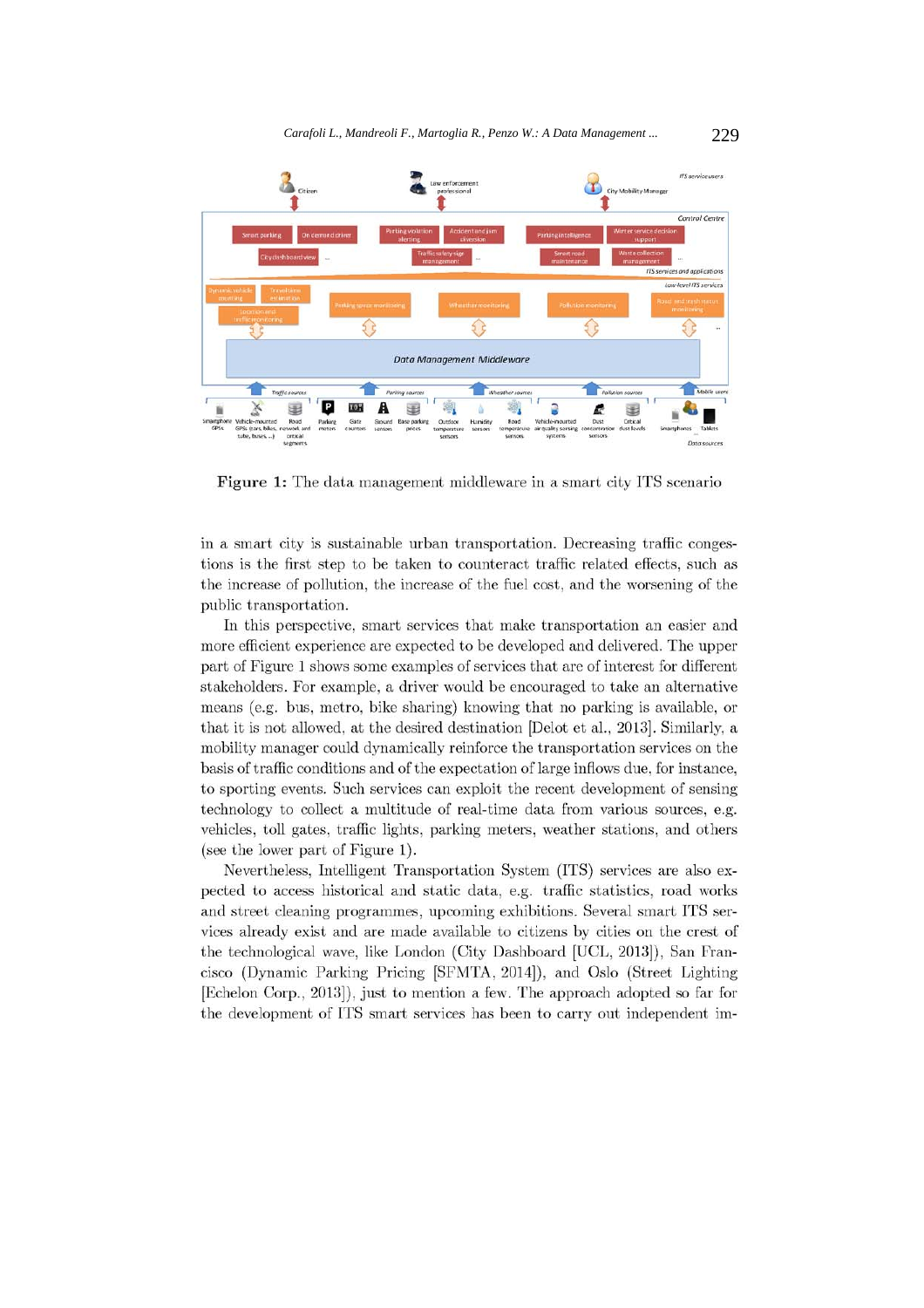

Figure 1: The data management middleware in a smart city ITS scenario

in a smart city is sustainable urban transportation. Decreasing traffic congestions is the first step to be taken to counteract traffic related effects, such as the increase of pollution, the increase of the fuel cost, and the worsening of the public transportation.

In this perspective, smart services that make transportation an easier and more efficient experience are expected to be developed and delivered. The upper part of Figure 1 shows some examples of services that are of interest for different stakeholders. For example, a driver would be encouraged to take an alternative means (e.g. bus, metro, bike sharing) knowing that no parking is available, or that it is not allowed, at the desired destination [Delot et al., 2013]. Similarly, a mobility manager could dynamically reinforce the transportation services on the basis of traffic conditions and of the expectation of large inflows due, for instance, to sporting events. Such services can exploit the recent development of sensing technology to collect a multitude of real-time data from various sources, e.g. vehicles, toll gates, traffic lights, parking meters, weather stations, and others (see the lower part of Figure 1).

Nevertheless, Intelligent Transportation System (ITS) services are also expected to access historical and static data, e.g. traffic statistics, road works and street cleaning programmes, upcoming exhibitions. Several smart ITS services already exist and are made available to citizens by cities on the crest of the technological wave, like London (City Dashboard [UCL, 2013]), San Francisco (Dynamic Parking Pricing [SFMTA, 2014]), and Oslo (Street Lighting [Echelon Corp., 2013]), just to mention a few. The approach adopted so far for the development of ITS smart services has been to carry out independent im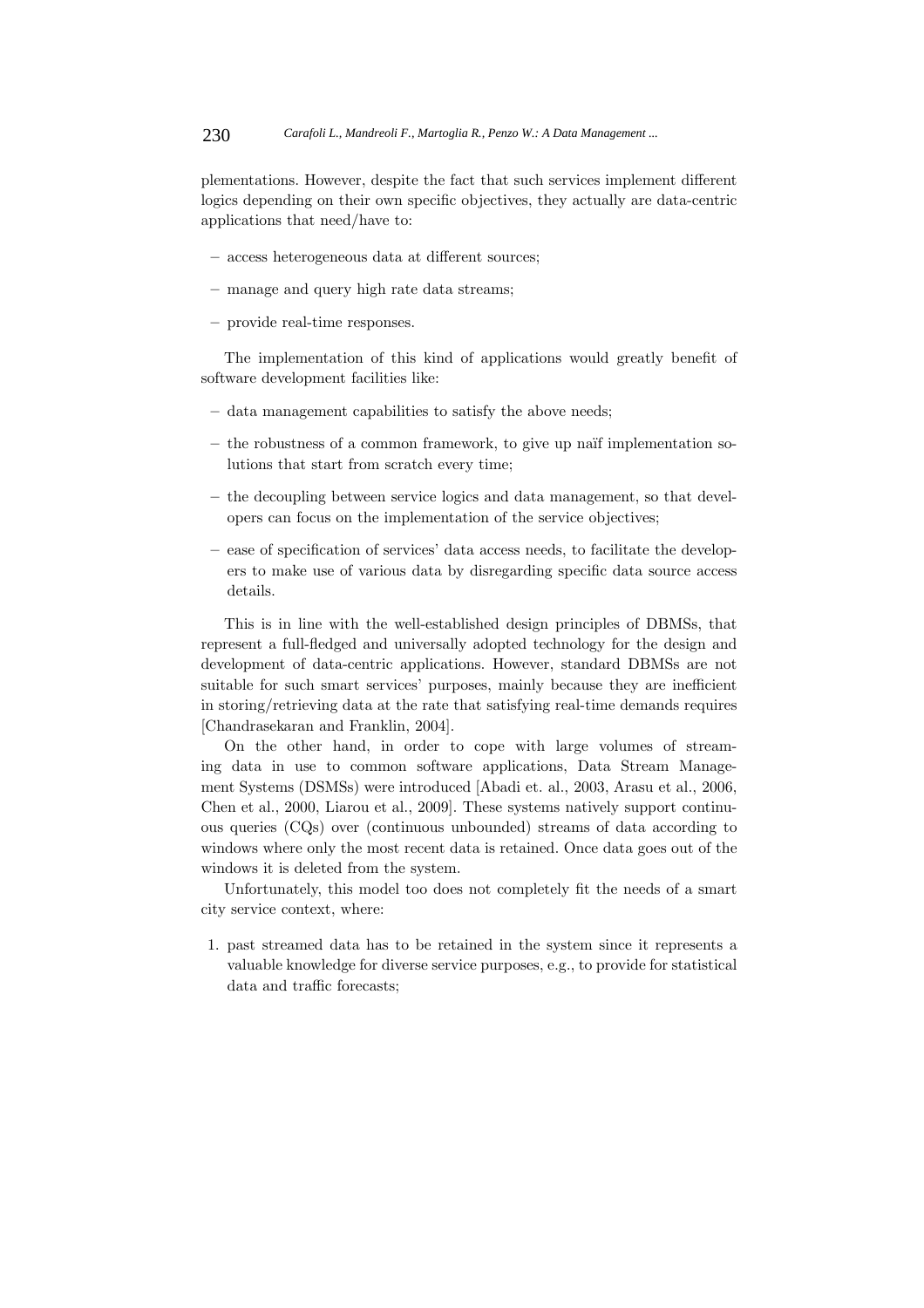plementations. However, despite the fact that such services implement different logics depending on their own specific objectives, they actually are data-centric applications that need/have to:

- **–** access heterogeneous data at different sources;
- **–** manage and query high rate data streams;
- **–** provide real-time responses.

The implementation of this kind of applications would greatly benefit of software development facilities like:

- **–** data management capabilities to satisfy the above needs;
- **–** the robustness of a common framework, to give up na¨ıf implementation solutions that start from scratch every time;
- **–** the decoupling between service logics and data management, so that developers can focus on the implementation of the service objectives;
- **–** ease of specification of services' data access needs, to facilitate the developers to make use of various data by disregarding specific data source access details.

This is in line with the well-established design principles of DBMSs, that represent a full-fledged and universally adopted technology for the design and development of data-centric applications. However, standard DBMSs are not suitable for such smart services' purposes, mainly because they are inefficient in storing/retrieving data at the rate that satisfying real-time demands requires [Chandrasekaran and Franklin, 2004].

On the other hand, in order to cope with large volumes of streaming data in use to common software applications, Data Stream Management Systems (DSMSs) were introduced [Abadi et. al., 2003, Arasu et al., 2006, Chen et al., 2000, Liarou et al., 2009]. These systems natively support continuous queries (CQs) over (continuous unbounded) streams of data according to windows where only the most recent data is retained. Once data goes out of the windows it is deleted from the system.

Unfortunately, this model too does not completely fit the needs of a smart city service context, where:

1. past streamed data has to be retained in the system since it represents a valuable knowledge for diverse service purposes, e.g., to provide for statistical data and traffic forecasts;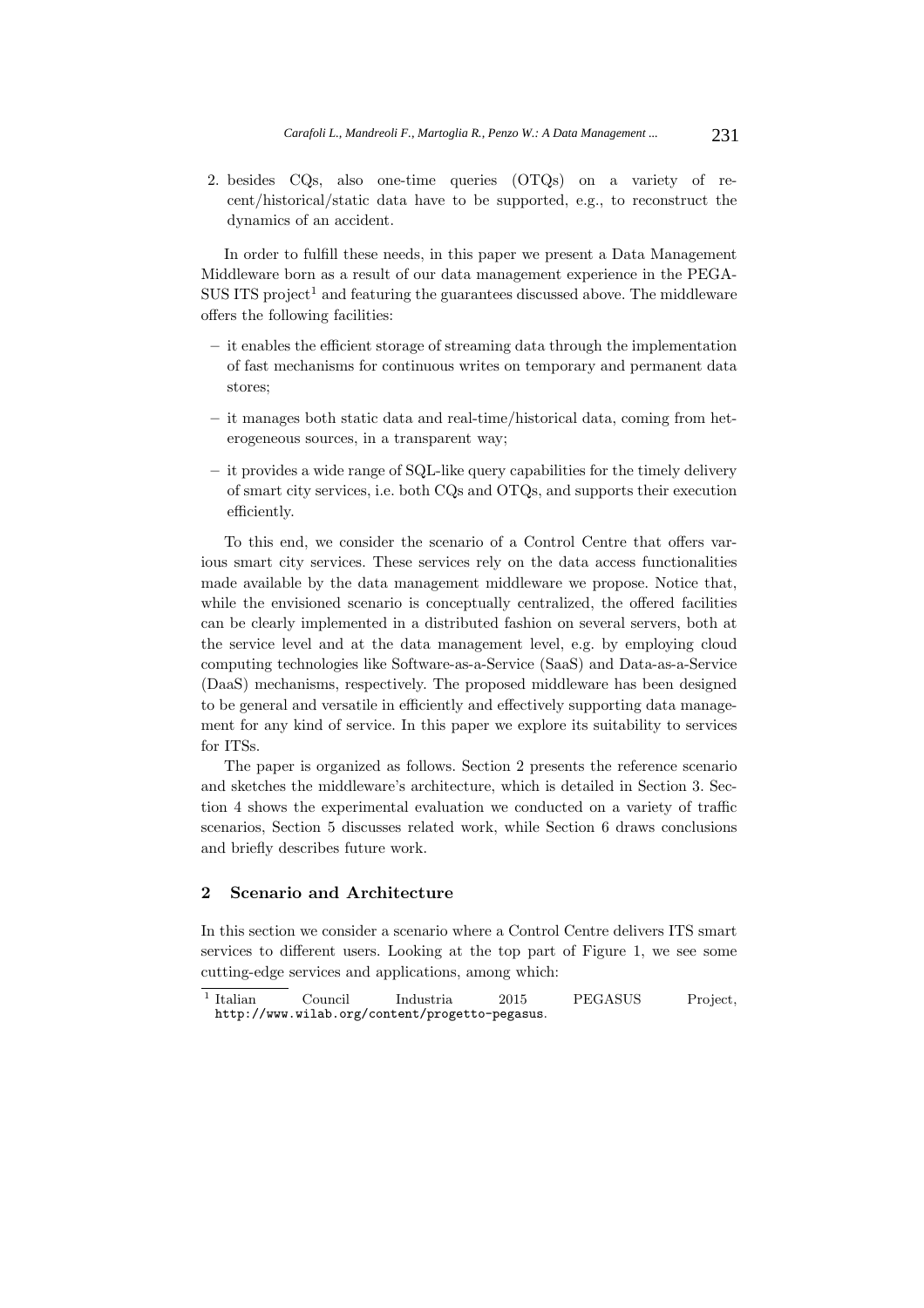2. besides CQs, also one-time queries (OTQs) on a variety of recent/historical/static data have to be supported, e.g., to reconstruct the dynamics of an accident.

In order to fulfill these needs, in this paper we present a Data Management Middleware born as a result of our data management experience in the PEGA- $SUS$  ITS project<sup>1</sup> and featuring the guarantees discussed above. The middleware offers the following facilities:

- **–** it enables the efficient storage of streaming data through the implementation of fast mechanisms for continuous writes on temporary and permanent data stores;
- **–** it manages both static data and real-time/historical data, coming from heterogeneous sources, in a transparent way;
- **–** it provides a wide range of SQL-like query capabilities for the timely delivery of smart city services, i.e. both CQs and OTQs, and supports their execution efficiently.

To this end, we consider the scenario of a Control Centre that offers various smart city services. These services rely on the data access functionalities made available by the data management middleware we propose. Notice that, while the envisioned scenario is conceptually centralized, the offered facilities can be clearly implemented in a distributed fashion on several servers, both at the service level and at the data management level, e.g. by employing cloud computing technologies like Software-as-a-Service (SaaS) and Data-as-a-Service (DaaS) mechanisms, respectively. The proposed middleware has been designed to be general and versatile in efficiently and effectively supporting data management for any kind of service. In this paper we explore its suitability to services for ITSs.

The paper is organized as follows. Section 2 presents the reference scenario and sketches the middleware's architecture, which is detailed in Section 3. Section 4 shows the experimental evaluation we conducted on a variety of traffic scenarios, Section 5 discusses related work, while Section 6 draws conclusions and briefly describes future work.

#### **2 Scenario and Architecture**

In this section we consider a scenario where a Control Centre delivers ITS smart services to different users. Looking at the top part of Figure 1, we see some cutting-edge services and applications, among which:

<sup>&</sup>lt;sup>1</sup> Italian Council Industria 2015 PEGASUS Project, http://www.wilab.org/content/progetto-pegasus.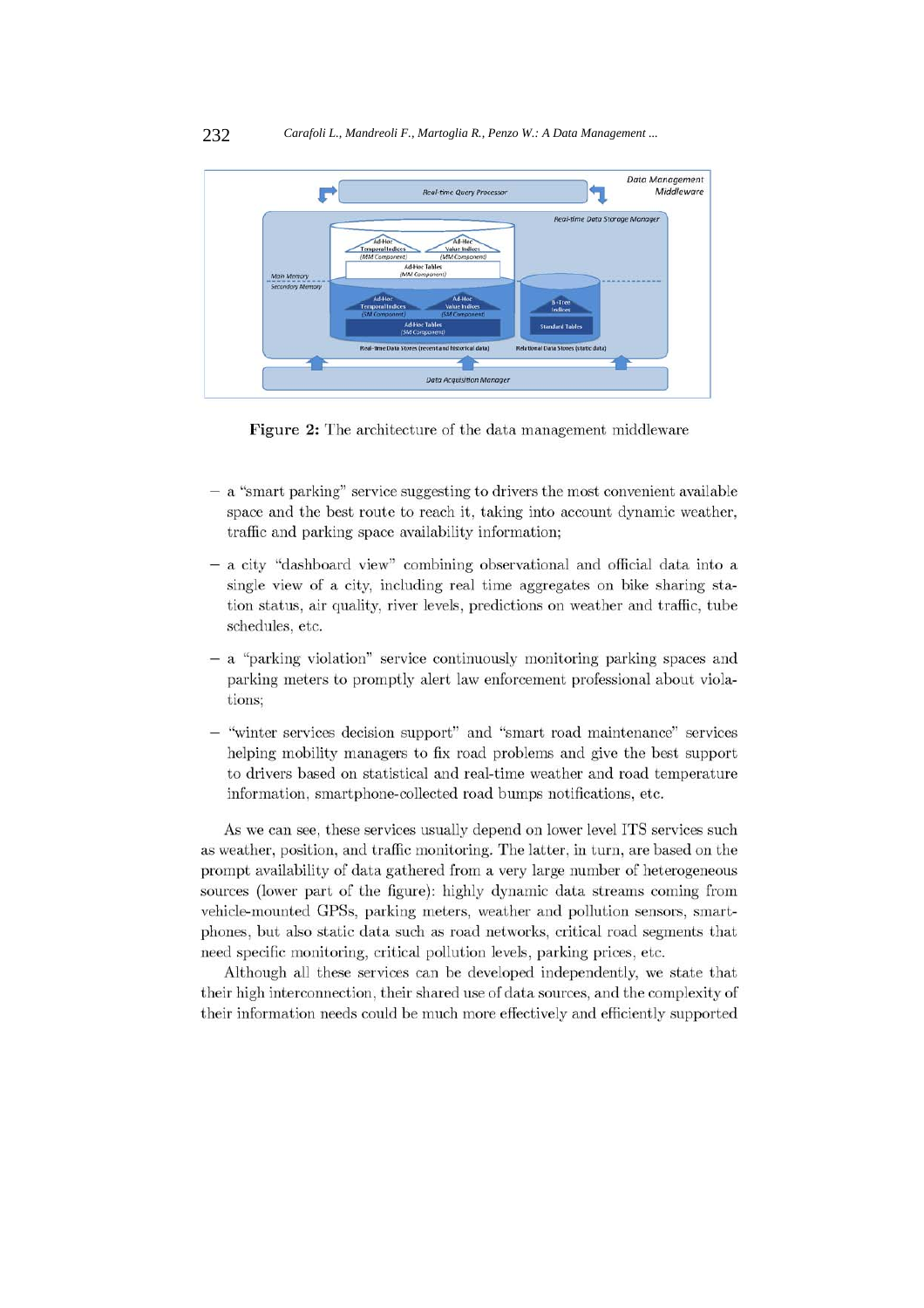

Figure 2: The architecture of the data management middleware

- a "smart parking" service suggesting to drivers the most convenient available space and the best route to reach it, taking into account dynamic weather, traffic and parking space availability information;
- a city "dashboard view" combining observational and official data into a single view of a city, including real time aggregates on bike sharing station status, air quality, river levels, predictions on weather and traffic, tube schedules, etc.
- a "parking violation" service continuously monitoring parking spaces and parking meters to promptly alert law enforcement professional about violations;
- "winter services decision support" and "smart road maintenance" services helping mobility managers to fix road problems and give the best support to drivers based on statistical and real-time weather and road temperature information, smartphone-collected road bumps notifications, etc.

As we can see, these services usually depend on lower level ITS services such as weather, position, and traffic monitoring. The latter, in turn, are based on the prompt availability of data gathered from a very large number of heterogeneous sources (lower part of the figure): highly dynamic data streams coming from vehicle-mounted GPSs, parking meters, weather and pollution sensors, smartphones, but also static data such as road networks, critical road segments that need specific monitoring, critical pollution levels, parking prices, etc.

Although all these services can be developed independently, we state that their high interconnection, their shared use of data sources, and the complexity of their information needs could be much more effectively and efficiently supported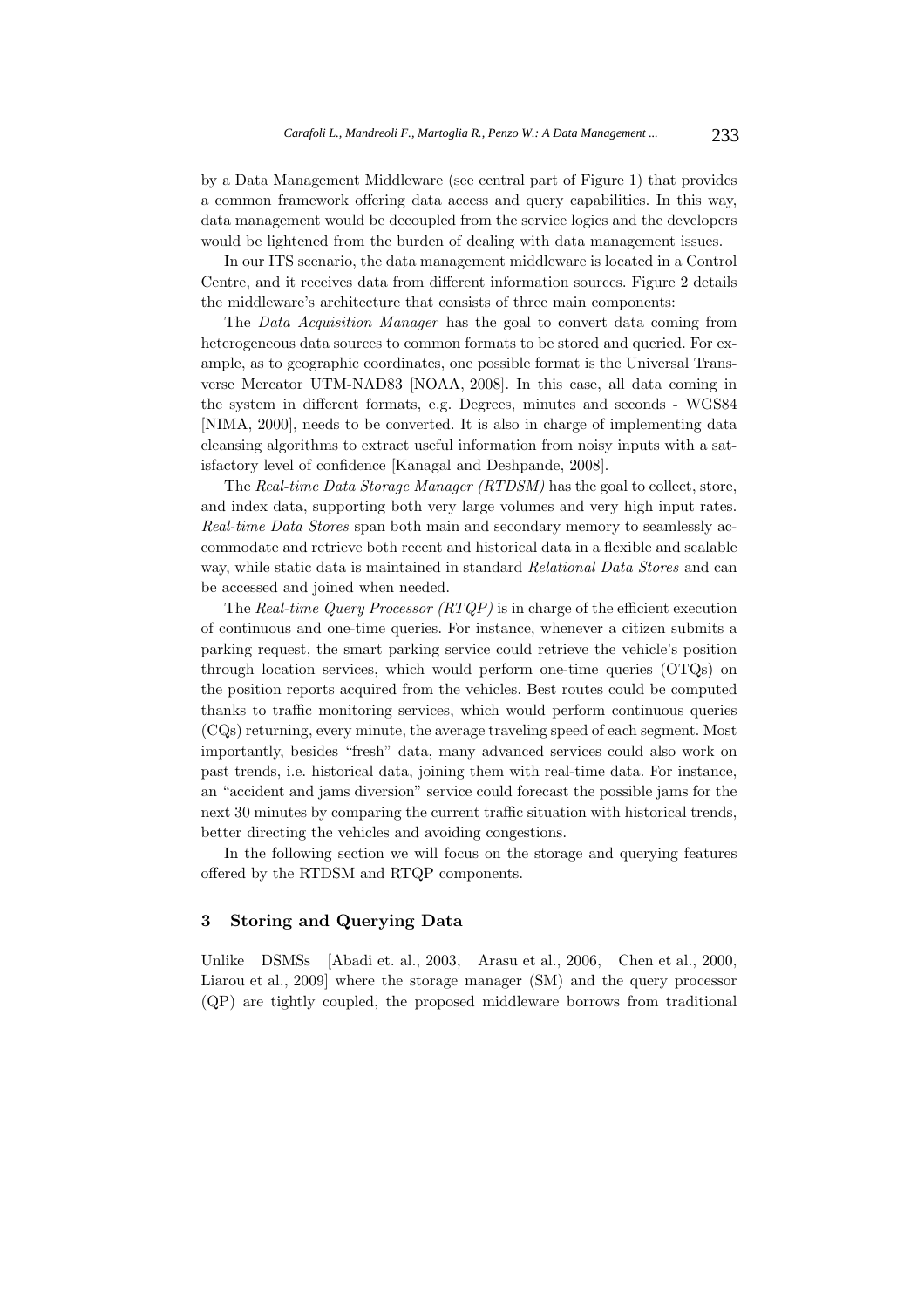by a Data Management Middleware (see central part of Figure 1) that provides a common framework offering data access and query capabilities. In this way, data management would be decoupled from the service logics and the developers would be lightened from the burden of dealing with data management issues.

In our ITS scenario, the data management middleware is located in a Control Centre, and it receives data from different information sources. Figure 2 details the middleware's architecture that consists of three main components:

The Data Acquisition Manager has the goal to convert data coming from heterogeneous data sources to common formats to be stored and queried. For example, as to geographic coordinates, one possible format is the Universal Transverse Mercator UTM-NAD83 [NOAA, 2008]. In this case, all data coming in the system in different formats, e.g. Degrees, minutes and seconds - WGS84 [NIMA, 2000], needs to be converted. It is also in charge of implementing data cleansing algorithms to extract useful information from noisy inputs with a satisfactory level of confidence [Kanagal and Deshpande, 2008].

The Real-time Data Storage Manager (RTDSM) has the goal to collect, store, and index data, supporting both very large volumes and very high input rates. Real-time Data Stores span both main and secondary memory to seamlessly accommodate and retrieve both recent and historical data in a flexible and scalable way, while static data is maintained in standard Relational Data Stores and can be accessed and joined when needed.

The Real-time Query Processor (RTQP) is in charge of the efficient execution of continuous and one-time queries. For instance, whenever a citizen submits a parking request, the smart parking service could retrieve the vehicle's position through location services, which would perform one-time queries (OTQs) on the position reports acquired from the vehicles. Best routes could be computed thanks to traffic monitoring services, which would perform continuous queries (CQs) returning, every minute, the average traveling speed of each segment. Most importantly, besides "fresh" data, many advanced services could also work on past trends, i.e. historical data, joining them with real-time data. For instance, an "accident and jams diversion" service could forecast the possible jams for the next 30 minutes by comparing the current traffic situation with historical trends, better directing the vehicles and avoiding congestions.

In the following section we will focus on the storage and querying features offered by the RTDSM and RTQP components.

#### **3 Storing and Querying Data**

Unlike DSMSs [Abadi et. al., 2003, Arasu et al., 2006, Chen et al., 2000, Liarou et al., 2009] where the storage manager (SM) and the query processor (QP) are tightly coupled, the proposed middleware borrows from traditional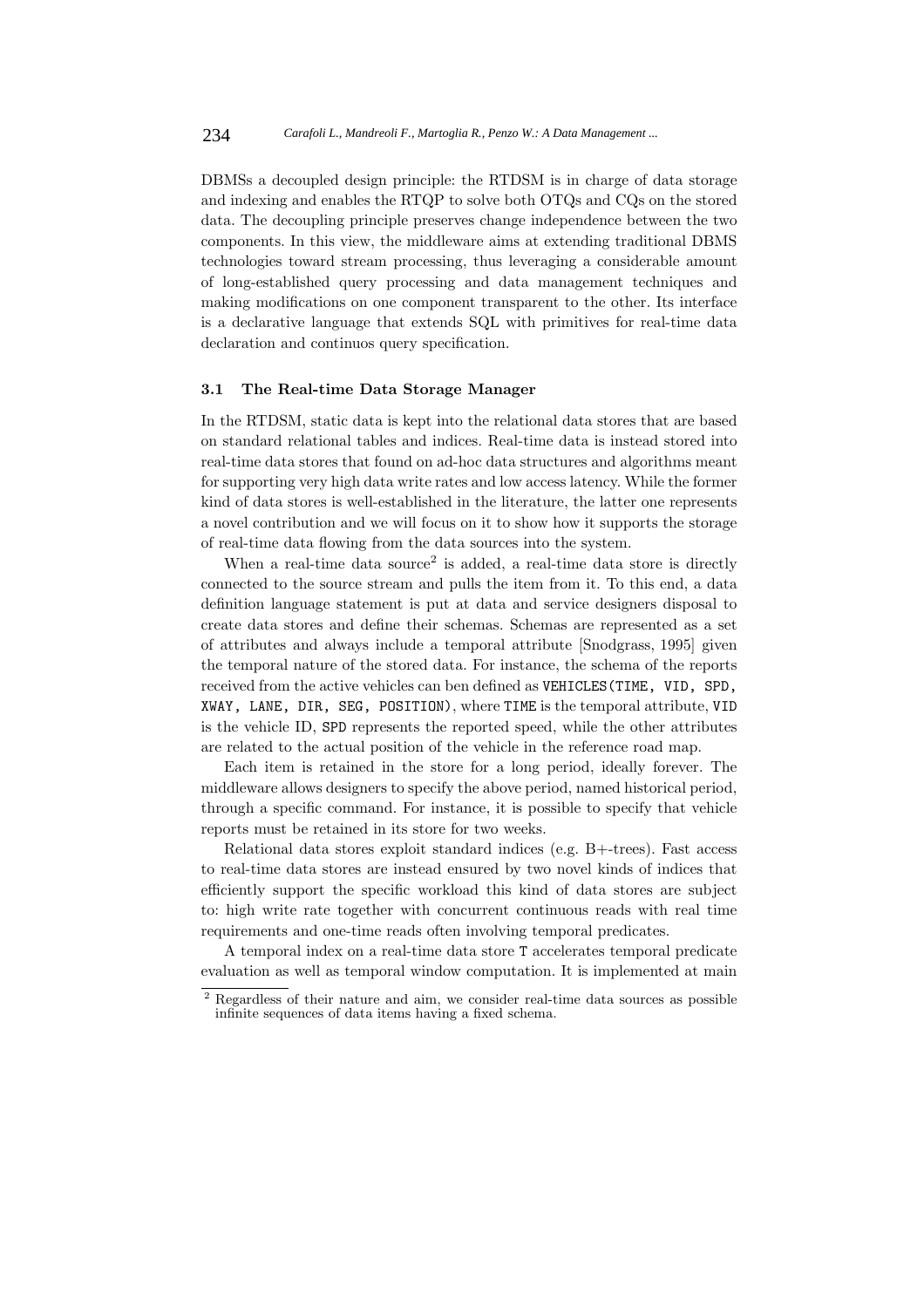DBMSs a decoupled design principle: the RTDSM is in charge of data storage and indexing and enables the RTQP to solve both OTQs and CQs on the stored data. The decoupling principle preserves change independence between the two components. In this view, the middleware aims at extending traditional DBMS technologies toward stream processing, thus leveraging a considerable amount of long-established query processing and data management techniques and making modifications on one component transparent to the other. Its interface is a declarative language that extends SQL with primitives for real-time data declaration and continuos query specification.

#### **3.1 The Real-time Data Storage Manager**

In the RTDSM, static data is kept into the relational data stores that are based on standard relational tables and indices. Real-time data is instead stored into real-time data stores that found on ad-hoc data structures and algorithms meant for supporting very high data write rates and low access latency. While the former kind of data stores is well-established in the literature, the latter one represents a novel contribution and we will focus on it to show how it supports the storage of real-time data flowing from the data sources into the system.

When a real-time data source<sup>2</sup> is added, a real-time data store is directly connected to the source stream and pulls the item from it. To this end, a data definition language statement is put at data and service designers disposal to create data stores and define their schemas. Schemas are represented as a set of attributes and always include a temporal attribute [Snodgrass, 1995] given the temporal nature of the stored data. For instance, the schema of the reports received from the active vehicles can ben defined as VEHICLES(TIME, VID, SPD, XWAY, LANE, DIR, SEG, POSITION), where TIME is the temporal attribute, VID is the vehicle ID, SPD represents the reported speed, while the other attributes are related to the actual position of the vehicle in the reference road map.

Each item is retained in the store for a long period, ideally forever. The middleware allows designers to specify the above period, named historical period, through a specific command. For instance, it is possible to specify that vehicle reports must be retained in its store for two weeks.

Relational data stores exploit standard indices (e.g. B+-trees). Fast access to real-time data stores are instead ensured by two novel kinds of indices that efficiently support the specific workload this kind of data stores are subject to: high write rate together with concurrent continuous reads with real time requirements and one-time reads often involving temporal predicates.

A temporal index on a real-time data store T accelerates temporal predicate evaluation as well as temporal window computation. It is implemented at main

<sup>2</sup> Regardless of their nature and aim, we consider real-time data sources as possible infinite sequences of data items having a fixed schema.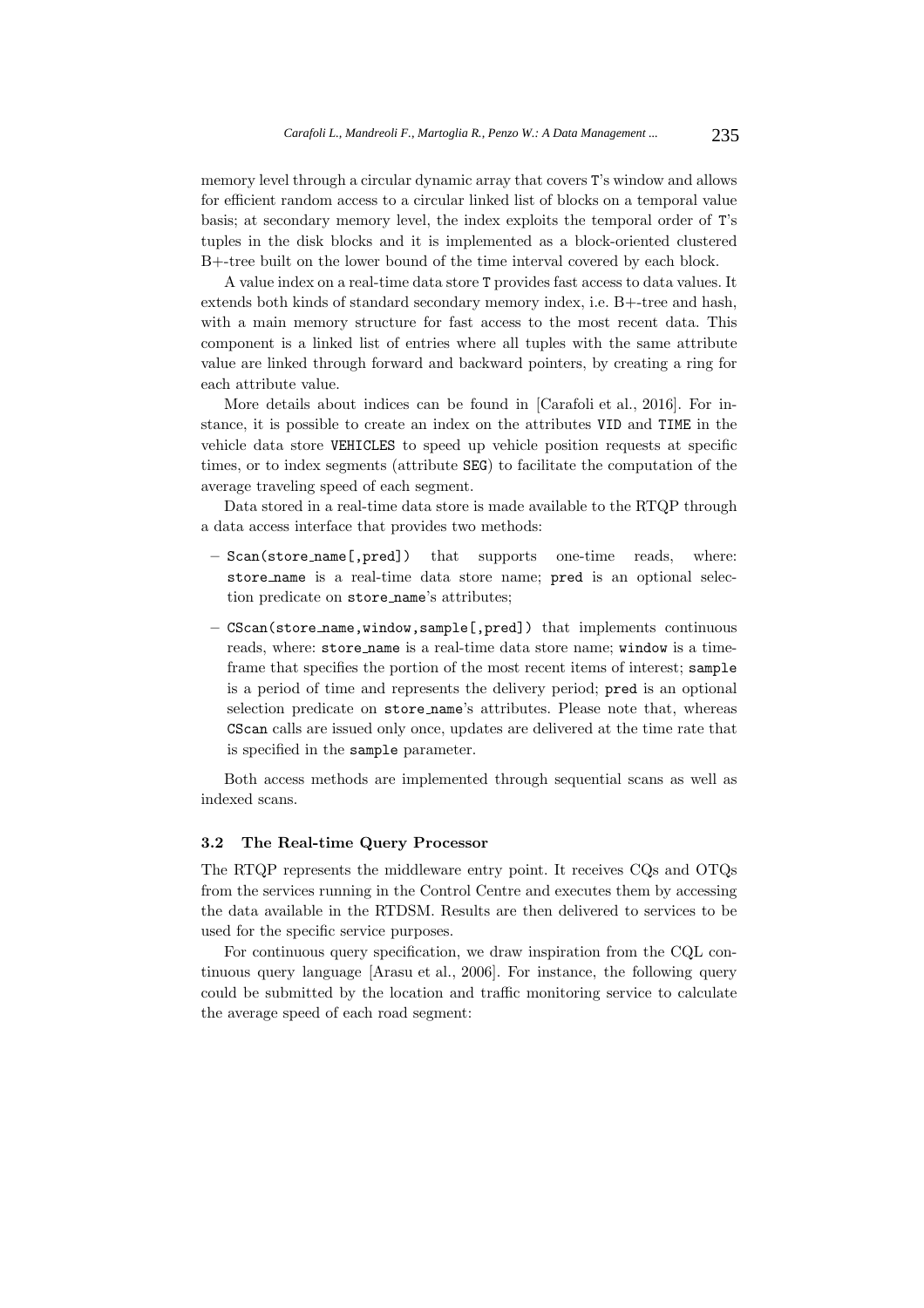memory level through a circular dynamic array that covers T's window and allows for efficient random access to a circular linked list of blocks on a temporal value basis; at secondary memory level, the index exploits the temporal order of T's tuples in the disk blocks and it is implemented as a block-oriented clustered B+-tree built on the lower bound of the time interval covered by each block.

A value index on a real-time data store T provides fast access to data values. It extends both kinds of standard secondary memory index, i.e. B+-tree and hash, with a main memory structure for fast access to the most recent data. This component is a linked list of entries where all tuples with the same attribute value are linked through forward and backward pointers, by creating a ring for each attribute value.

More details about indices can be found in [Carafoli et al., 2016]. For instance, it is possible to create an index on the attributes VID and TIME in the vehicle data store VEHICLES to speed up vehicle position requests at specific times, or to index segments (attribute SEG) to facilitate the computation of the average traveling speed of each segment.

Data stored in a real-time data store is made available to the RTQP through a data access interface that provides two methods:

- **–** Scan(store name[,pred]) that supports one-time reads, where: store name is a real-time data store name; pred is an optional selection predicate on store name's attributes;
- **–** CScan(store name,window,sample[,pred]) that implements continuous reads, where: store name is a real-time data store name; window is a timeframe that specifies the portion of the most recent items of interest; sample is a period of time and represents the delivery period; pred is an optional selection predicate on store name's attributes. Please note that, whereas CScan calls are issued only once, updates are delivered at the time rate that is specified in the sample parameter.

Both access methods are implemented through sequential scans as well as indexed scans.

#### **3.2 The Real-time Query Processor**

The RTQP represents the middleware entry point. It receives CQs and OTQs from the services running in the Control Centre and executes them by accessing the data available in the RTDSM. Results are then delivered to services to be used for the specific service purposes.

For continuous query specification, we draw inspiration from the CQL continuous query language [Arasu et al., 2006]. For instance, the following query could be submitted by the location and traffic monitoring service to calculate the average speed of each road segment: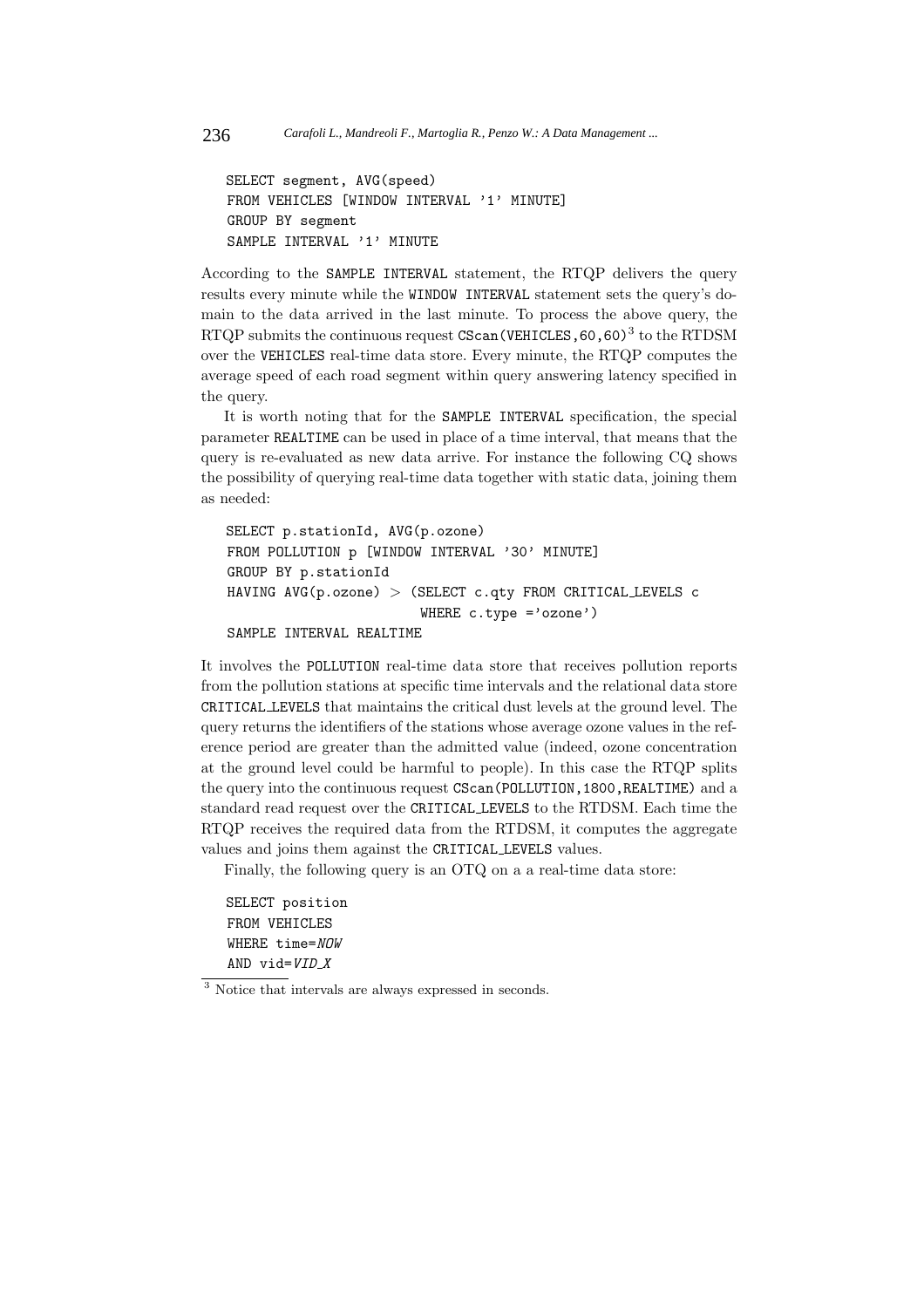```
SELECT segment, AVG(speed)
FROM VEHICLES [WINDOW INTERVAL '1' MINUTE]
GROUP BY segment
SAMPLE INTERVAL '1' MINUTE
```
According to the SAMPLE INTERVAL statement, the RTQP delivers the query results every minute while the WINDOW INTERVAL statement sets the query's domain to the data arrived in the last minute. To process the above query, the RTQP submits the continuous request  $\text{CScan}(\text{VEHICLES}, 60, 60)^3$  to the RTDSM over the VEHICLES real-time data store. Every minute, the RTQP computes the average speed of each road segment within query answering latency specified in the query.

It is worth noting that for the SAMPLE INTERVAL specification, the special parameter REALTIME can be used in place of a time interval, that means that the query is re-evaluated as new data arrive. For instance the following CQ shows the possibility of querying real-time data together with static data, joining them as needed:

```
SELECT p.stationId, AVG(p.ozone)
FROM POLLUTION p [WINDOW INTERVAL '30' MINUTE]
GROUP BY p.stationId
HAVING AVG(p.\ozone) > (SELECT c.gty FROM CRITICAL^\iota LEVELS c
                         WHERE c.type ='ozone')
```
SAMPLE INTERVAL REALTIME

It involves the POLLUTION real-time data store that receives pollution reports from the pollution stations at specific time intervals and the relational data store CRITICAL LEVELS that maintains the critical dust levels at the ground level. The query returns the identifiers of the stations whose average ozone values in the reference period are greater than the admitted value (indeed, ozone concentration at the ground level could be harmful to people). In this case the RTQP splits the query into the continuous request CScan(POLLUTION, 1800, REALTIME) and a standard read request over the CRITICAL LEVELS to the RTDSM. Each time the RTQP receives the required data from the RTDSM, it computes the aggregate values and joins them against the CRITICAL LEVELS values.

Finally, the following query is an OTQ on a a real-time data store:

SELECT position FROM VEHICLES WHERE time=NOW AND vid= $VID_X$ 

<sup>3</sup> Notice that intervals are always expressed in seconds.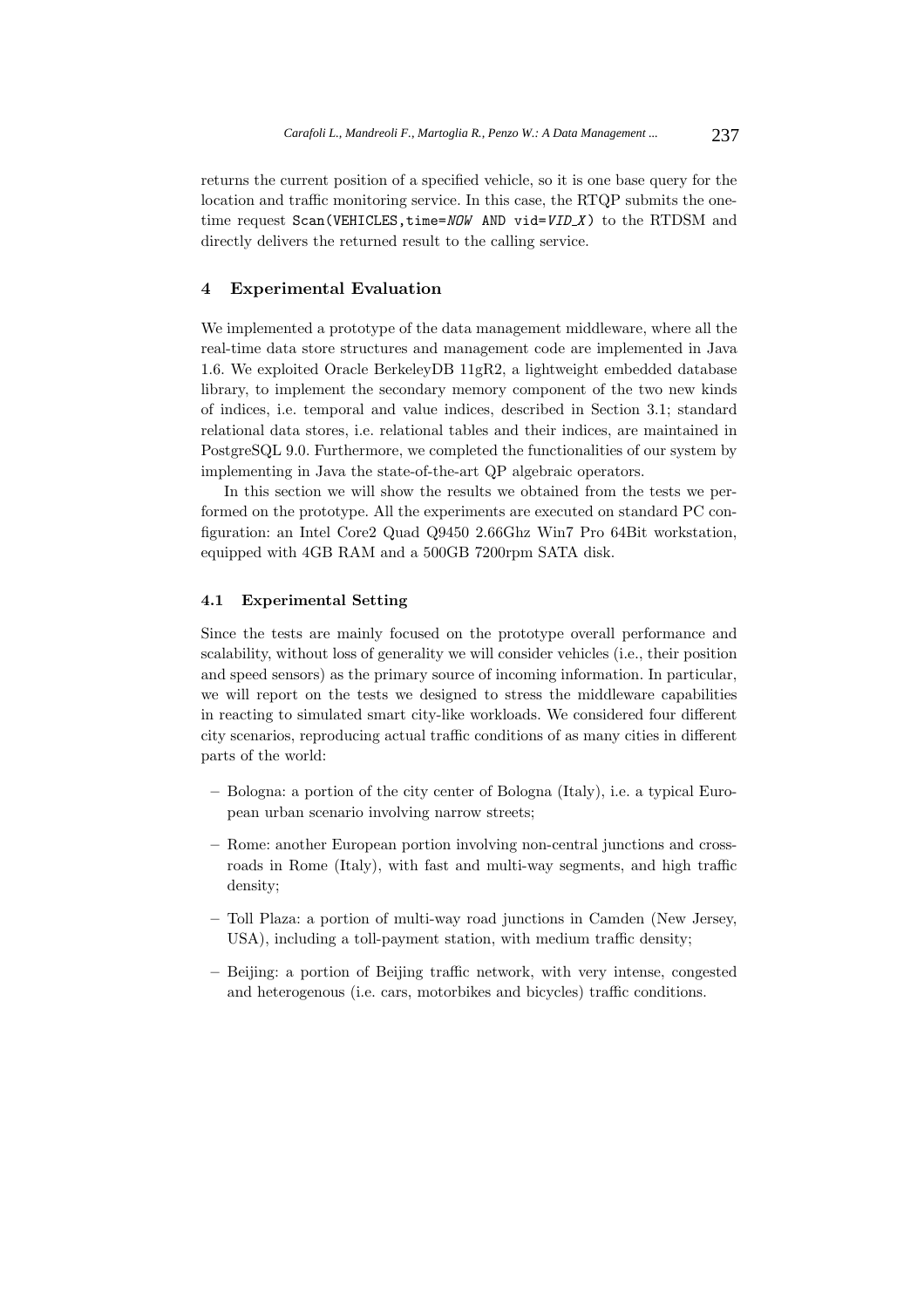returns the current position of a specified vehicle, so it is one base query for the location and traffic monitoring service. In this case, the RTQP submits the onetime request  $Scan(VEHICLES, time = NOW AND vid = VID.X)$  to the RTDSM and directly delivers the returned result to the calling service.

#### **4 Experimental Evaluation**

We implemented a prototype of the data management middleware, where all the real-time data store structures and management code are implemented in Java 1.6. We exploited Oracle BerkeleyDB 11gR2, a lightweight embedded database library, to implement the secondary memory component of the two new kinds of indices, i.e. temporal and value indices, described in Section 3.1; standard relational data stores, i.e. relational tables and their indices, are maintained in PostgreSQL 9.0. Furthermore, we completed the functionalities of our system by implementing in Java the state-of-the-art QP algebraic operators.

In this section we will show the results we obtained from the tests we performed on the prototype. All the experiments are executed on standard PC configuration: an Intel Core2 Quad Q9450 2.66Ghz Win7 Pro 64Bit workstation, equipped with 4GB RAM and a 500GB 7200rpm SATA disk.

#### **4.1 Experimental Setting**

Since the tests are mainly focused on the prototype overall performance and scalability, without loss of generality we will consider vehicles (i.e., their position and speed sensors) as the primary source of incoming information. In particular, we will report on the tests we designed to stress the middleware capabilities in reacting to simulated smart city-like workloads. We considered four different city scenarios, reproducing actual traffic conditions of as many cities in different parts of the world:

- **–** Bologna: a portion of the city center of Bologna (Italy), i.e. a typical European urban scenario involving narrow streets;
- **–** Rome: another European portion involving non-central junctions and crossroads in Rome (Italy), with fast and multi-way segments, and high traffic density;
- **–** Toll Plaza: a portion of multi-way road junctions in Camden (New Jersey, USA), including a toll-payment station, with medium traffic density;
- **–** Beijing: a portion of Beijing traffic network, with very intense, congested and heterogenous (i.e. cars, motorbikes and bicycles) traffic conditions.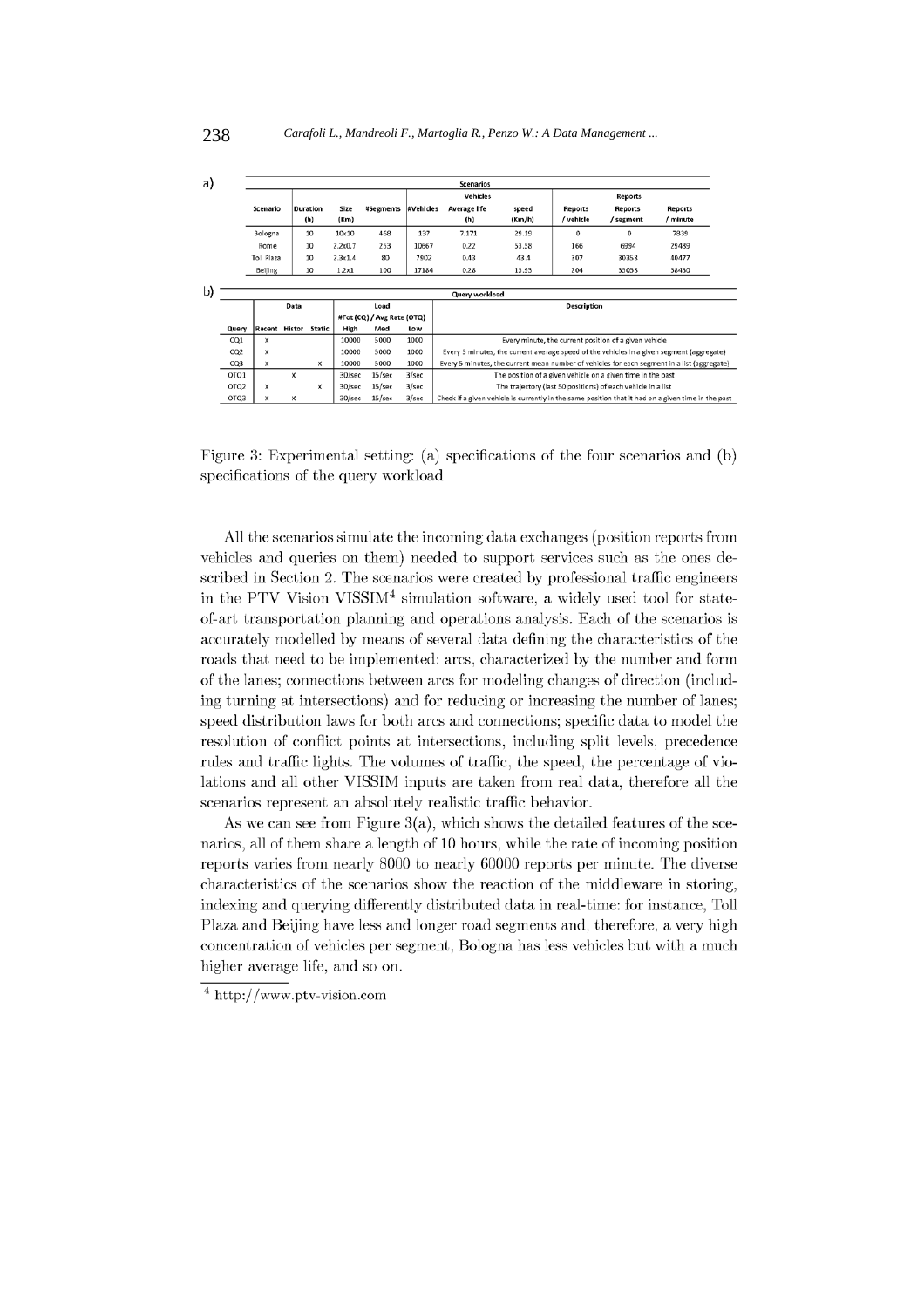| a) |                 | <b>Scenarios</b> |   |                 |              |                            |                  |                                                                                                    |        |                |           |          |  |
|----|-----------------|------------------|---|-----------------|--------------|----------------------------|------------------|----------------------------------------------------------------------------------------------------|--------|----------------|-----------|----------|--|
|    |                 |                  |   |                 |              |                            |                  | <b>Vehicles</b>                                                                                    |        | <b>Reports</b> |           |          |  |
|    |                 | Scenario         |   | <b>Duration</b> | Size         | <b>#Segments</b>           | <b>#Vehicles</b> | Average life                                                                                       | speed  | Reports        | Reports   | Reports  |  |
|    |                 |                  |   | (h)             | (Km)         |                            |                  | (h)                                                                                                | (Km/h) | / vehicle      | / segment | / minute |  |
|    |                 | Bologna          |   | 10              | $10\times10$ | 468                        | 137              | 7.171                                                                                              | 29.19  | 0              | $\Omega$  | 7839     |  |
|    |                 | Rome             |   | 10              | 2.2x0.7      | 253                        | 10667            | 0.22                                                                                               | 53.58  | 166            | 6994      | 29489    |  |
|    |                 | Toll Plaza       |   | 10              | 2.3x1.4      | 80                         | 7902             | 0.43                                                                                               | 43.4   | 307            | 30358     | 40477    |  |
|    |                 | Beijing          |   | 10              | 1.2x1        | 100                        | 17184            | 0.28                                                                                               | 15.93  | 204            | 35058     | 58430    |  |
|    |                 |                  |   |                 |              |                            |                  |                                                                                                    |        |                |           |          |  |
| b) | Query workload  |                  |   |                 |              |                            |                  |                                                                                                    |        |                |           |          |  |
|    |                 | Data             |   |                 | Load         |                            |                  | Description                                                                                        |        |                |           |          |  |
|    |                 |                  |   |                 |              | #Tot (CQ) / Avg Rate (OTQ) |                  |                                                                                                    |        |                |           |          |  |
|    | Query           | Recent Histor    |   | Static          | High         | Med                        | Low              |                                                                                                    |        |                |           |          |  |
|    | CO1             | x                |   |                 | 10000        | 5000                       | 1000             | Every minute, the current position of a given vehicle                                              |        |                |           |          |  |
|    | CO <sub>2</sub> | x                |   |                 | 10000        | 5000                       | 1000             | Every 5 minutes, the current average speed of the vehicles in a given segment (aggregate)          |        |                |           |          |  |
|    | CQ3             | x                |   | $\mathbf x$     | 10000        | 5000                       | 1000             | Every 5 minutes, the current mean number of vehicles for each segment in a list (aggregate)        |        |                |           |          |  |
|    | OTO1            |                  | x |                 | 30/sec       | 15/sec                     | 3/sec            | The position of a given vehicle on a given time in the past                                        |        |                |           |          |  |
|    | OTQ2            | x                |   | x               | 30/sec       | 15/sec                     | 3/sec            | The trajectory (last 50 positions) of each vehicle in a list                                       |        |                |           |          |  |
|    | OTQ3            | x                | x |                 | 30/sec       | 15/sec                     | 3/sec            | Check if a given vehicle is currently in the same position that it had on a given time in the past |        |                |           |          |  |

Figure 3: Experimental setting: (a) specifications of the four scenarios and (b) specifications of the query workload

All the scenarios simulate the incoming data exchanges (position reports from vehicles and queries on them) needed to support services such as the ones described in Section 2. The scenarios were created by professional traffic engineers in the PTV Vision VISSIM<sup>4</sup> simulation software, a widely used tool for stateof-art transportation planning and operations analysis. Each of the scenarios is accurately modelled by means of several data defining the characteristics of the roads that need to be implemented: arcs, characterized by the number and form of the lanes; connections between arcs for modeling changes of direction (including turning at intersections) and for reducing or increasing the number of lanes; speed distribution laws for both arcs and connections; specific data to model the resolution of conflict points at intersections, including split levels, precedence rules and traffic lights. The volumes of traffic, the speed, the percentage of violations and all other VISSIM inputs are taken from real data, therefore all the scenarios represent an absolutely realistic traffic behavior.

As we can see from Figure  $3(a)$ , which shows the detailed features of the scenarios, all of them share a length of 10 hours, while the rate of incoming position reports varies from nearly 8000 to nearly 60000 reports per minute. The diverse characteristics of the scenarios show the reaction of the middleware in storing, indexing and querying differently distributed data in real-time: for instance, Toll Plaza and Beijing have less and longer road segments and, therefore, a very high concentration of vehicles per segment. Bologna has less vehicles but with a much higher average life, and so on.

 $4 \text{ http://www.ptv-vision.com}$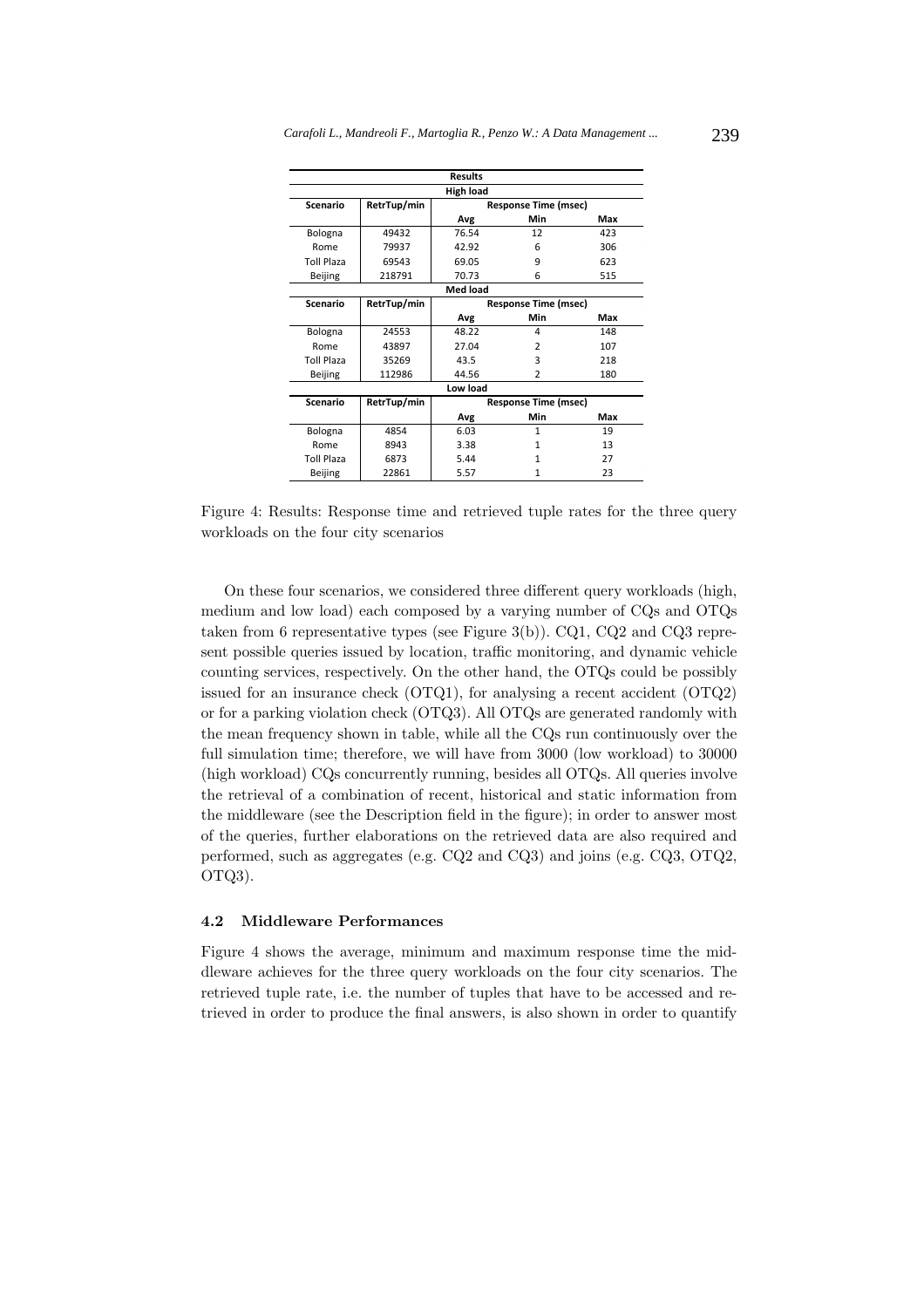| Results           |                                            |                             |                |     |  |  |  |  |  |  |  |
|-------------------|--------------------------------------------|-----------------------------|----------------|-----|--|--|--|--|--|--|--|
| High load         |                                            |                             |                |     |  |  |  |  |  |  |  |
| <b>Scenario</b>   | RetrTup/min                                | <b>Response Time (msec)</b> |                |     |  |  |  |  |  |  |  |
|                   |                                            | Avg                         | Min            | Max |  |  |  |  |  |  |  |
| Bologna           | 49432                                      | 76.54                       | 12             | 423 |  |  |  |  |  |  |  |
| Rome              | 79937                                      | 42.92                       | 6              | 306 |  |  |  |  |  |  |  |
| <b>Toll Plaza</b> | 69543                                      | 69.05                       | 9              | 623 |  |  |  |  |  |  |  |
| Beijing           | 218791                                     | 70.73                       | 6              | 515 |  |  |  |  |  |  |  |
| <b>Med load</b>   |                                            |                             |                |     |  |  |  |  |  |  |  |
| Scenario          | RetrTup/min                                | <b>Response Time (msec)</b> |                |     |  |  |  |  |  |  |  |
|                   |                                            | Avg                         | Min            | Max |  |  |  |  |  |  |  |
| Bologna           | 24553                                      | 48.22                       | 4              | 148 |  |  |  |  |  |  |  |
| Rome              | 43897                                      | 27.04                       | $\mathfrak{p}$ | 107 |  |  |  |  |  |  |  |
| <b>Toll Plaza</b> | 35269                                      | 43.5                        | 3              | 218 |  |  |  |  |  |  |  |
| Beijing           | 112986                                     | 44.56                       | $\overline{2}$ | 180 |  |  |  |  |  |  |  |
| Low load          |                                            |                             |                |     |  |  |  |  |  |  |  |
| <b>Scenario</b>   | RetrTup/min<br><b>Response Time (msec)</b> |                             |                |     |  |  |  |  |  |  |  |
|                   |                                            | Avg                         | Min            | Max |  |  |  |  |  |  |  |
| Bologna           | 4854                                       | 6.03                        | 1              | 19  |  |  |  |  |  |  |  |
| Rome              | 8943                                       | 3.38                        | 1              | 13  |  |  |  |  |  |  |  |
| <b>Toll Plaza</b> | 6873                                       | 5.44                        | 1              | 27  |  |  |  |  |  |  |  |
| Beijing           | 22861                                      | 5.57                        | 1              | 23  |  |  |  |  |  |  |  |

Figure 4: Results: Response time and retrieved tuple rates for the three query workloads on the four city scenarios

On these four scenarios, we considered three different query workloads (high, medium and low load) each composed by a varying number of CQs and OTQs taken from 6 representative types (see Figure 3(b)). CQ1, CQ2 and CQ3 represent possible queries issued by location, traffic monitoring, and dynamic vehicle counting services, respectively. On the other hand, the OTQs could be possibly issued for an insurance check (OTQ1), for analysing a recent accident (OTQ2) or for a parking violation check (OTQ3). All OTQs are generated randomly with the mean frequency shown in table, while all the CQs run continuously over the full simulation time; therefore, we will have from 3000 (low workload) to 30000 (high workload) CQs concurrently running, besides all OTQs. All queries involve the retrieval of a combination of recent, historical and static information from the middleware (see the Description field in the figure); in order to answer most of the queries, further elaborations on the retrieved data are also required and performed, such as aggregates (e.g. CQ2 and CQ3) and joins (e.g. CQ3, OTQ2, OTQ3).

#### **4.2 Middleware Performances**

Figure 4 shows the average, minimum and maximum response time the middleware achieves for the three query workloads on the four city scenarios. The retrieved tuple rate, i.e. the number of tuples that have to be accessed and retrieved in order to produce the final answers, is also shown in order to quantify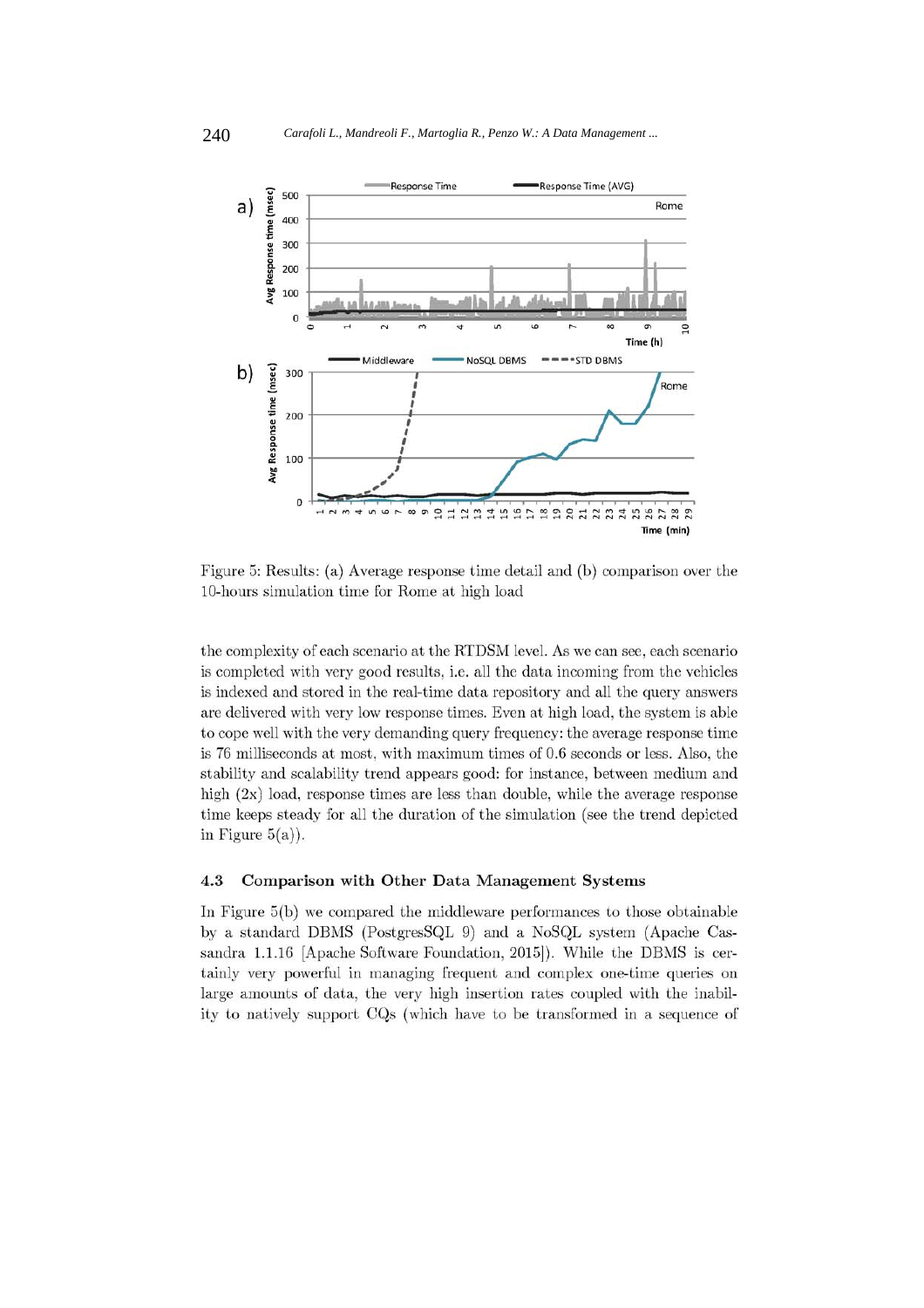

Figure 5: Results: (a) Average response time detail and (b) comparison over the 10-hours simulation time for Rome at high load

the complexity of each scenario at the RTDSM level. As we can see, each scenario is completed with very good results, i.e. all the data incoming from the vehicles is indexed and stored in the real-time data repository and all the query answers are delivered with very low response times. Even at high load, the system is able to cope well with the very demanding query frequency: the average response time is 76 milliseconds at most, with maximum times of 0.6 seconds or less. Also, the stability and scalability trend appears good: for instance, between medium and high  $(2x)$  load, response times are less than double, while the average response time keeps steady for all the duration of the simulation (see the trend depicted in Figure  $5(a)$ ).

#### 4.3 Comparison with Other Data Management Systems

In Figure 5(b) we compared the middleware performances to those obtainable by a standard DBMS (PostgresSQL 9) and a NoSQL system (Apache Cassandra 1.1.16 [Apache Software Foundation, 2015]). While the DBMS is certainly very powerful in managing frequent and complex one-time queries on large amounts of data, the very high insertion rates coupled with the inability to natively support CQs (which have to be transformed in a sequence of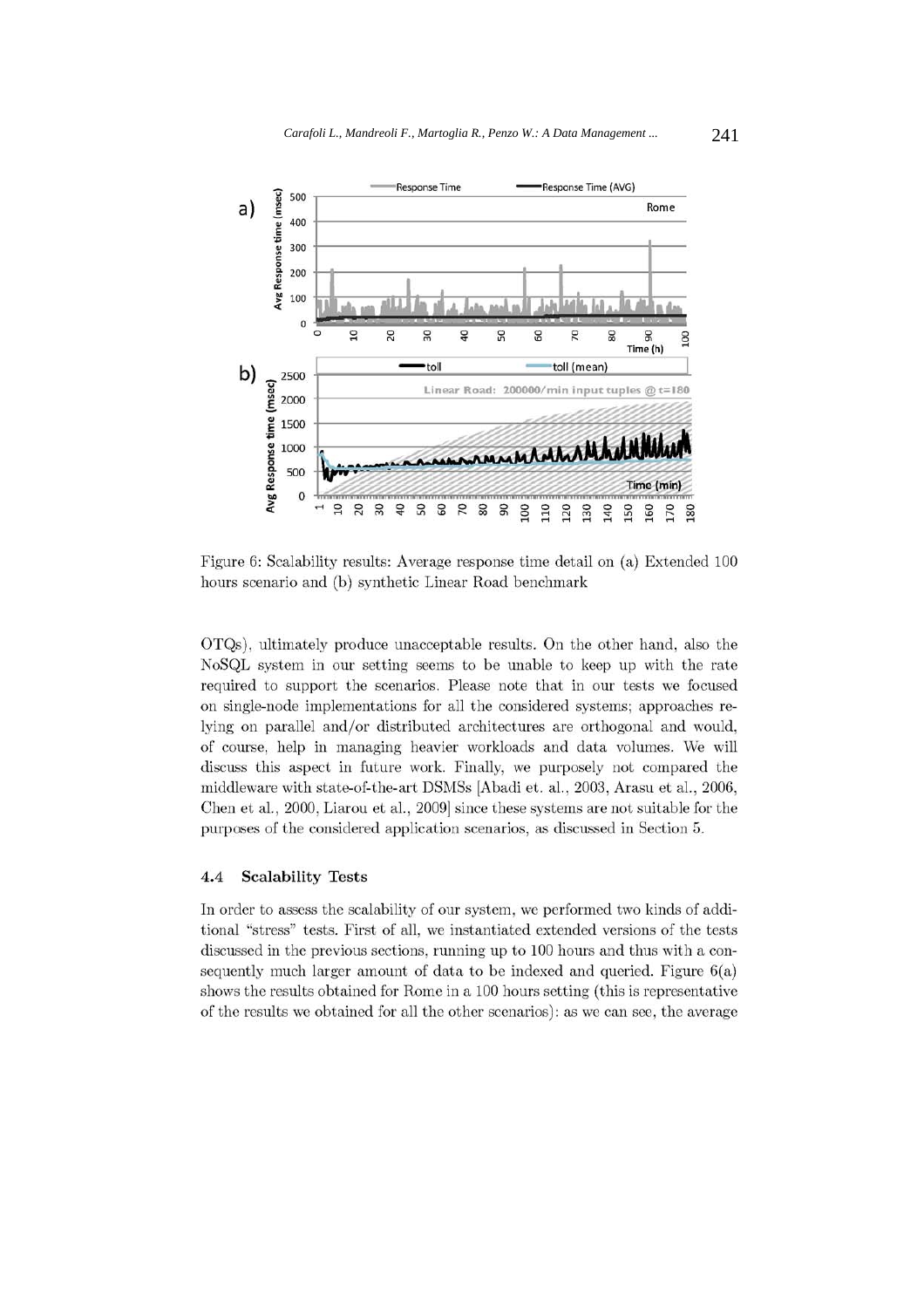

Figure 6: Scalability results: Average response time detail on (a) Extended 100 hours scenario and (b) synthetic Linear Road benchmark

OTQs), ultimately produce unacceptable results. On the other hand, also the NoSQL system in our setting seems to be unable to keep up with the rate required to support the scenarios. Please note that in our tests we focused on single-node implementations for all the considered systems; approaches relying on parallel and/or distributed architectures are orthogonal and would, of course, help in managing heavier workloads and data volumes. We will discuss this aspect in future work. Finally, we purposely not compared the middleware with state-of-the-art DSMSs [Abadi et. al., 2003, Arasu et al., 2006, Chen et al., 2000, Liarou et al., 2009] since these systems are not suitable for the purposes of the considered application scenarios, as discussed in Section 5.

#### **Scalability Tests**  $4.4$

In order to assess the scalability of our system, we performed two kinds of additional "stress" tests. First of all, we instantiated extended versions of the tests discussed in the previous sections, running up to 100 hours and thus with a consequently much larger amount of data to be indexed and queried. Figure  $6(a)$ shows the results obtained for Rome in a 100 hours setting (this is representative of the results we obtained for all the other scenarios): as we can see, the average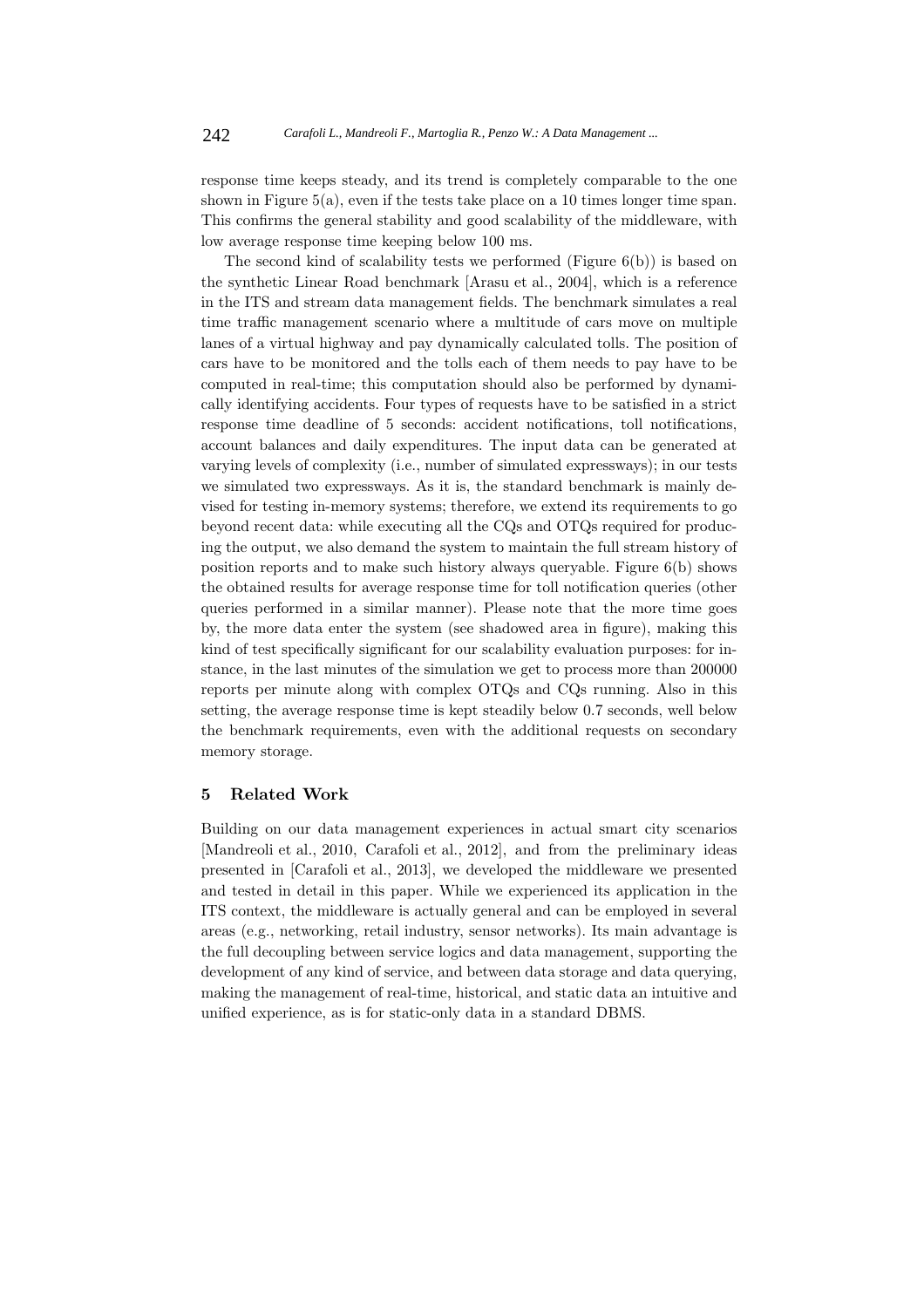response time keeps steady, and its trend is completely comparable to the one shown in Figure 5(a), even if the tests take place on a 10 times longer time span. This confirms the general stability and good scalability of the middleware, with low average response time keeping below 100 ms.

The second kind of scalability tests we performed (Figure 6(b)) is based on the synthetic Linear Road benchmark [Arasu et al., 2004], which is a reference in the ITS and stream data management fields. The benchmark simulates a real time traffic management scenario where a multitude of cars move on multiple lanes of a virtual highway and pay dynamically calculated tolls. The position of cars have to be monitored and the tolls each of them needs to pay have to be computed in real-time; this computation should also be performed by dynamically identifying accidents. Four types of requests have to be satisfied in a strict response time deadline of 5 seconds: accident notifications, toll notifications, account balances and daily expenditures. The input data can be generated at varying levels of complexity (i.e., number of simulated expressways); in our tests we simulated two expressways. As it is, the standard benchmark is mainly devised for testing in-memory systems; therefore, we extend its requirements to go beyond recent data: while executing all the CQs and OTQs required for producing the output, we also demand the system to maintain the full stream history of position reports and to make such history always queryable. Figure 6(b) shows the obtained results for average response time for toll notification queries (other queries performed in a similar manner). Please note that the more time goes by, the more data enter the system (see shadowed area in figure), making this kind of test specifically significant for our scalability evaluation purposes: for instance, in the last minutes of the simulation we get to process more than 200000 reports per minute along with complex OTQs and CQs running. Also in this setting, the average response time is kept steadily below 0.7 seconds, well below the benchmark requirements, even with the additional requests on secondary memory storage.

## **5 Related Work**

Building on our data management experiences in actual smart city scenarios [Mandreoli et al., 2010, Carafoli et al., 2012], and from the preliminary ideas presented in [Carafoli et al., 2013], we developed the middleware we presented and tested in detail in this paper. While we experienced its application in the ITS context, the middleware is actually general and can be employed in several areas (e.g., networking, retail industry, sensor networks). Its main advantage is the full decoupling between service logics and data management, supporting the development of any kind of service, and between data storage and data querying, making the management of real-time, historical, and static data an intuitive and unified experience, as is for static-only data in a standard DBMS.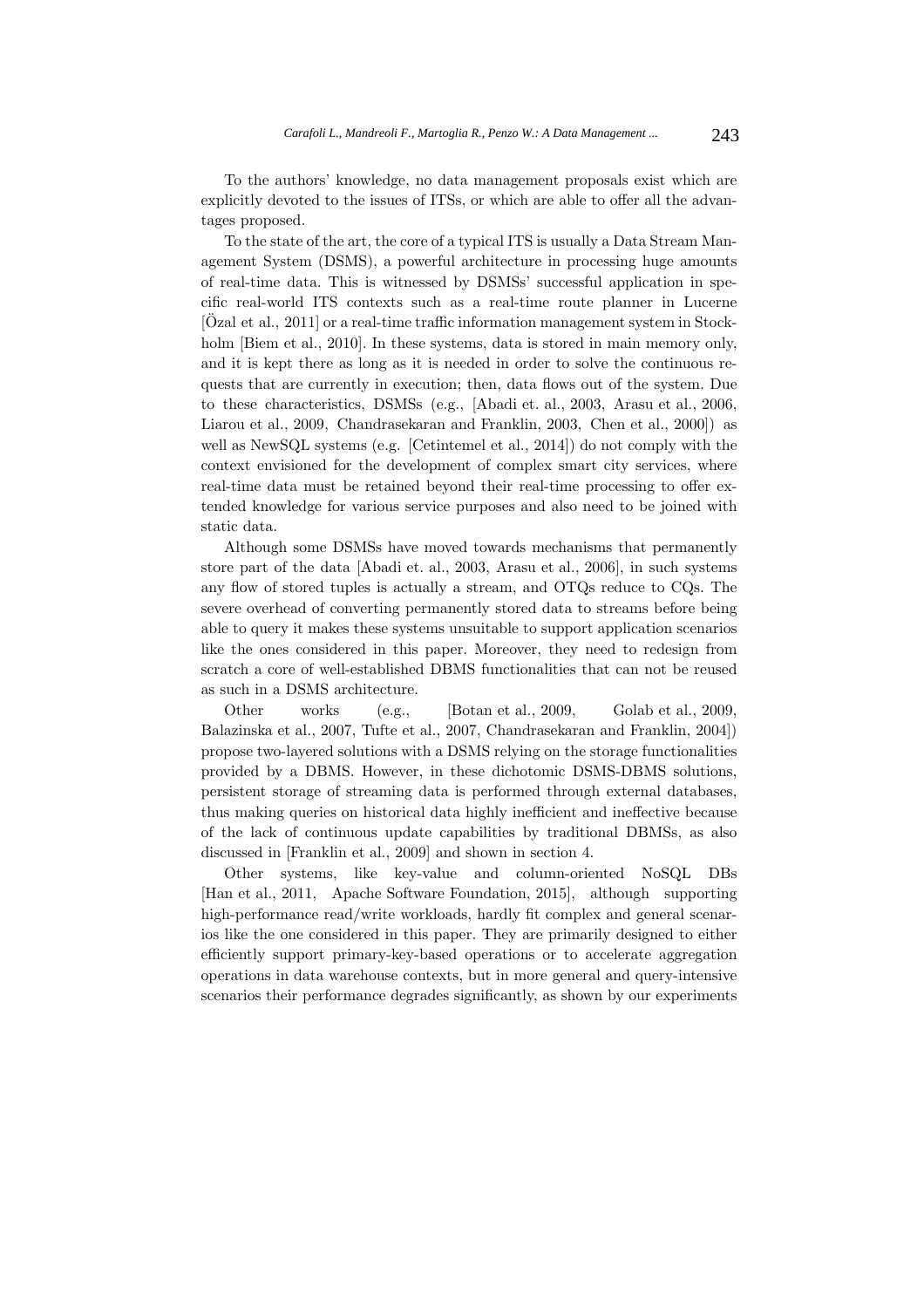To the authors' knowledge, no data management proposals exist which are explicitly devoted to the issues of ITSs, or which are able to offer all the advantages proposed.

To the state of the art, the core of a typical ITS is usually a Data Stream Management System (DSMS), a powerful architecture in processing huge amounts of real-time data. This is witnessed by DSMSs' successful application in specific real-world ITS contexts such as a real-time route planner in Lucerne  $[Oz<sub>z</sub>at]$  et al., 2011] or a real-time traffic information management system in Stockholm [Biem et al., 2010]. In these systems, data is stored in main memory only, and it is kept there as long as it is needed in order to solve the continuous requests that are currently in execution; then, data flows out of the system. Due to these characteristics, DSMSs (e.g., [Abadi et. al., 2003, Arasu et al., 2006, Liarou et al., 2009, Chandrasekaran and Franklin, 2003, Chen et al., 2000]) as well as NewSQL systems (e.g. [Cetintemel et al., 2014]) do not comply with the context envisioned for the development of complex smart city services, where real-time data must be retained beyond their real-time processing to offer extended knowledge for various service purposes and also need to be joined with static data.

Although some DSMSs have moved towards mechanisms that permanently store part of the data [Abadi et. al., 2003, Arasu et al., 2006], in such systems any flow of stored tuples is actually a stream, and OTQs reduce to CQs. The severe overhead of converting permanently stored data to streams before being able to query it makes these systems unsuitable to support application scenarios like the ones considered in this paper. Moreover, they need to redesign from scratch a core of well-established DBMS functionalities that can not be reused as such in a DSMS architecture.

Other works (e.g., [Botan et al., 2009, Golab et al., 2009, Balazinska et al., 2007, Tufte et al., 2007, Chandrasekaran and Franklin, 2004]) propose two-layered solutions with a DSMS relying on the storage functionalities provided by a DBMS. However, in these dichotomic DSMS-DBMS solutions, persistent storage of streaming data is performed through external databases, thus making queries on historical data highly inefficient and ineffective because of the lack of continuous update capabilities by traditional DBMSs, as also discussed in [Franklin et al., 2009] and shown in section 4.

Other systems, like key-value and column-oriented NoSQL DBs [Han et al., 2011, Apache Software Foundation, 2015], although supporting high-performance read/write workloads, hardly fit complex and general scenarios like the one considered in this paper. They are primarily designed to either efficiently support primary-key-based operations or to accelerate aggregation operations in data warehouse contexts, but in more general and query-intensive scenarios their performance degrades significantly, as shown by our experiments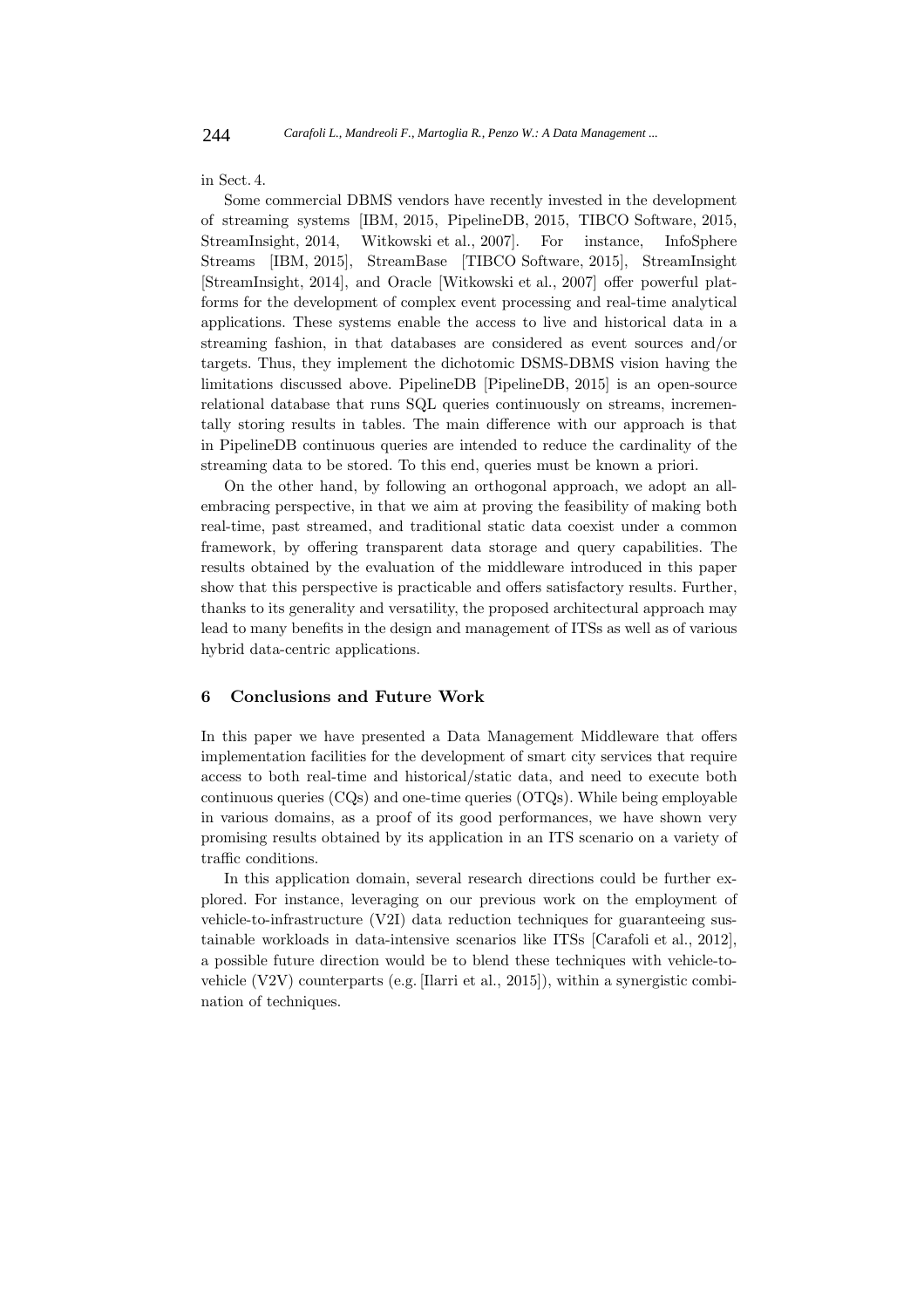#### in Sect. 4.

Some commercial DBMS vendors have recently invested in the development of streaming systems [IBM, 2015, PipelineDB, 2015, TIBCO Software, 2015, StreamInsight, 2014, Witkowski et al., 2007]. For instance, InfoSphere Streams [IBM, 2015], StreamBase [TIBCO Software, 2015], StreamInsight [StreamInsight, 2014], and Oracle [Witkowski et al., 2007] offer powerful platforms for the development of complex event processing and real-time analytical applications. These systems enable the access to live and historical data in a streaming fashion, in that databases are considered as event sources and/or targets. Thus, they implement the dichotomic DSMS-DBMS vision having the limitations discussed above. PipelineDB [PipelineDB, 2015] is an open-source relational database that runs SQL queries continuously on streams, incrementally storing results in tables. The main difference with our approach is that in PipelineDB continuous queries are intended to reduce the cardinality of the streaming data to be stored. To this end, queries must be known a priori.

On the other hand, by following an orthogonal approach, we adopt an allembracing perspective, in that we aim at proving the feasibility of making both real-time, past streamed, and traditional static data coexist under a common framework, by offering transparent data storage and query capabilities. The results obtained by the evaluation of the middleware introduced in this paper show that this perspective is practicable and offers satisfactory results. Further, thanks to its generality and versatility, the proposed architectural approach may lead to many benefits in the design and management of ITSs as well as of various hybrid data-centric applications.

#### **6 Conclusions and Future Work**

In this paper we have presented a Data Management Middleware that offers implementation facilities for the development of smart city services that require access to both real-time and historical/static data, and need to execute both continuous queries (CQs) and one-time queries (OTQs). While being employable in various domains, as a proof of its good performances, we have shown very promising results obtained by its application in an ITS scenario on a variety of traffic conditions.

In this application domain, several research directions could be further explored. For instance, leveraging on our previous work on the employment of vehicle-to-infrastructure (V2I) data reduction techniques for guaranteeing sustainable workloads in data-intensive scenarios like ITSs [Carafoli et al., 2012], a possible future direction would be to blend these techniques with vehicle-tovehicle (V2V) counterparts (e.g. [Ilarri et al., 2015]), within a synergistic combination of techniques.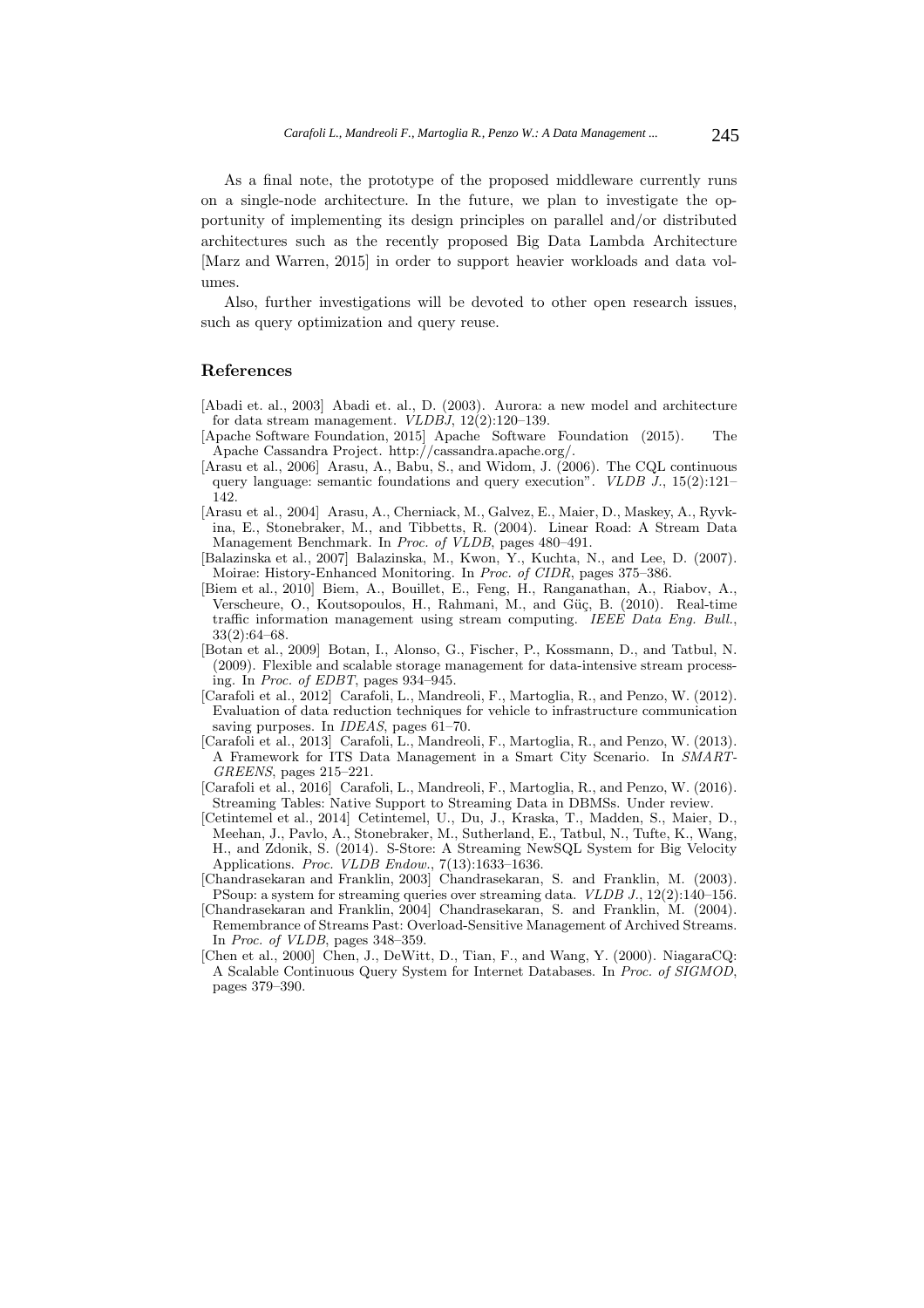As a final note, the prototype of the proposed middleware currently runs on a single-node architecture. In the future, we plan to investigate the opportunity of implementing its design principles on parallel and/or distributed architectures such as the recently proposed Big Data Lambda Architecture [Marz and Warren, 2015] in order to support heavier workloads and data volumes.

Also, further investigations will be devoted to other open research issues, such as query optimization and query reuse.

#### **References**

[Abadi et. al., 2003] Abadi et. al., D. (2003). Aurora: a new model and architecture for data stream management. VLDBJ, 12(2):120–139.

- [Apache Software Foundation, 2015] Apache Software Foundation (2015). The Apache Cassandra Project. http://cassandra.apache.org/.
- [Arasu et al., 2006] Arasu, A., Babu, S., and Widom, J. (2006). The CQL continuous query language: semantic foundations and query execution". VLDB  $J_{\cdot}$ , 15(2):121– 142.
- [Arasu et al., 2004] Arasu, A., Cherniack, M., Galvez, E., Maier, D., Maskey, A., Ryvkina, E., Stonebraker, M., and Tibbetts, R. (2004). Linear Road: A Stream Data Management Benchmark. In Proc. of VLDB, pages 480–491.
- [Balazinska et al., 2007] Balazinska, M., Kwon, Y., Kuchta, N., and Lee, D. (2007). Moirae: History-Enhanced Monitoring. In Proc. of CIDR, pages 375–386.
- [Biem et al., 2010] Biem, A., Bouillet, E., Feng, H., Ranganathan, A., Riabov, A., Verscheure, O., Koutsopoulos, H., Rahmani, M., and Güç, B. (2010). Real-time traffic information management using stream computing. IEEE Data Eng. Bull., 33(2):64–68.
- [Botan et al., 2009] Botan, I., Alonso, G., Fischer, P., Kossmann, D., and Tatbul, N. (2009). Flexible and scalable storage management for data-intensive stream processing. In Proc. of EDBT, pages 934–945.
- [Carafoli et al., 2012] Carafoli, L., Mandreoli, F., Martoglia, R., and Penzo, W. (2012). Evaluation of data reduction techniques for vehicle to infrastructure communication saving purposes. In *IDEAS*, pages 61–70.
- [Carafoli et al., 2013] Carafoli, L., Mandreoli, F., Martoglia, R., and Penzo, W. (2013). A Framework for ITS Data Management in a Smart City Scenario. In SMART-GREENS, pages 215–221.
- [Carafoli et al., 2016] Carafoli, L., Mandreoli, F., Martoglia, R., and Penzo, W. (2016). Streaming Tables: Native Support to Streaming Data in DBMSs. Under review.
- [Cetintemel et al., 2014] Cetintemel, U., Du, J., Kraska, T., Madden, S., Maier, D., Meehan, J., Pavlo, A., Stonebraker, M., Sutherland, E., Tatbul, N., Tufte, K., Wang, H., and Zdonik, S. (2014). S-Store: A Streaming NewSQL System for Big Velocity Applications. Proc. VLDB Endow., 7(13):1633-1636.
- [Chandrasekaran and Franklin, 2003] Chandrasekaran, S. and Franklin, M. (2003). PSoup: a system for streaming queries over streaming data. VLDB J., 12(2):140–156.
- [Chandrasekaran and Franklin, 2004] Chandrasekaran, S. and Franklin, M. (2004). Remembrance of Streams Past: Overload-Sensitive Management of Archived Streams. In Proc. of VLDB, pages 348–359.
- [Chen et al., 2000] Chen, J., DeWitt, D., Tian, F., and Wang, Y. (2000). NiagaraCQ: A Scalable Continuous Query System for Internet Databases. In Proc. of SIGMOD, pages 379–390.